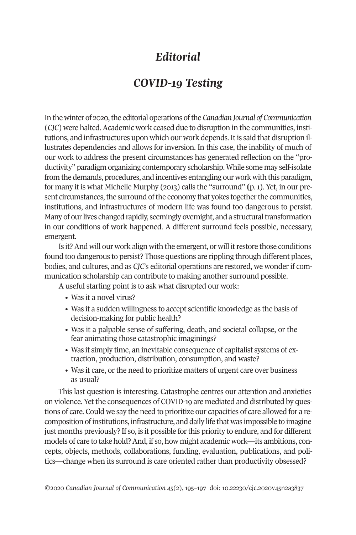## *Editorial*

## *COVID-19 Testing*

In the winter of 2020, the editorial operations of the *Canadian Journal* of *Communication* (*CJC*) were halted. Academic work ceased due to disruption in the communities, institutions, and infrastructures upon which our work depends. It is said that disruption illustrates dependencies and allows for inversion. In this case, the inability of much of our work to address the present circumstances has generated reflection on the "productivity" paradigm organizing contemporary scholarship.While some may self-isolate from the demands, procedures, and incentives entangling our work with this paradigm, for many it is what Michelle Murphy (2013) calls the "surround" **(**p.1). Yet, in our present circumstances, the surround of the economy that yokes together the communities, institutions, and infrastructures of modern life was found too dangerous to persist. Many of our lives changed rapidly, seemingly overnight, and a structural transformation in our conditions of work happened. A different surround feels possible, necessary, emergent.

Is it? And will our work align with the emergent, or will it restore those conditions found too dangerous to persist? Those questions are rippling through different places, bodies, and cultures, and as *CJC*'s editorial operations are restored, we wonder if communication scholarship can contribute to making another surround possible.

A useful starting point is to ask what disrupted our work:

- Was it a novel virus?
- Was it a sudden willingness to accept scientific knowledge as the basis of decision-making for public health?
- Was it a palpable sense of suffering, death, and societal collapse, or the fear animating those catastrophic imaginings?
- Was it simply time, an inevitable consequence of capitalist systems of extraction, production, distribution, consumption, and waste?
- Was it care, or the need to prioritize matters of urgent care over business as usual?

This last question is interesting. Catastrophe centres our attention and anxieties on violence. Yet the consequences of COVID-19 are mediated and distributed by questions of care. Could we say the need to prioritize our capacities of care allowed for a recomposition ofinstitutions, infrastructure, and daily life that was impossible to imagine just months previously? If so, is it possible forthis priority to endure, and for different models of care to take hold?And, if so, how might academic work—its ambitions, concepts, objects, methods, collaborations, funding, evaluation, publications, and politics—change when its surround is care oriented rather than productivity obsessed?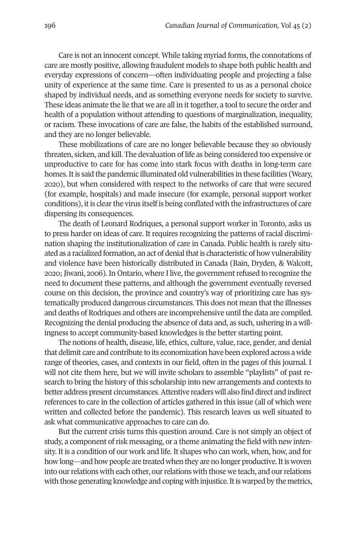Care is not an innocent concept. While taking myriad forms, the connotations of care are mostly positive, allowing fraudulent models to shape both public health and everyday expressions of concern—often individuating people and projecting a false unity of experience at the same time. Care is presented to us as a personal choice shaped by individual needs, and as something everyone needs for society to survive. These ideas animate the lie that we are all in it together, a tool to secure the order and health of a population without attending to questions of marginalization, inequality, or racism. These invocations of care are false, the habits of the established surround, and they are no longer believable.

These mobilizations of care are no longer believable because they so obviously threaten, sicken, and kill. The devaluation of life as being considered too expensive or unproductive to care for has come into stark focus with deaths in long-term care homes. It is said the pandemic illuminated old vulnerabilities in these facilities (Weary, 2020), but when considered with respect to the networks of care that were secured (for example, hospitals) and made insecure (for example, personal support worker conditions), it is clear the virus itself is being conflated with the infrastructures of care dispersing its consequences.

The death of Leonard Rodriques, a personal support worker in Toronto, asks us to press harder on ideas of care. It requires recognizing the patterns of racial discrimination shaping the institutionalization of care in Canada. Public health is rarely situated as a racialized formation, an act of denial that is characteristic of how vulnerability and violence have been historically distributed in Canada (Bain, Dryden, & Walcott, 2020; Jiwani, 2006). In Ontario, where I live, the governmentrefused to recognize the need to document these patterns, and although the government eventually reversed course on this decision, the province and country's way of prioritizing care has systematically produced dangerous circumstances. This does not mean that the illnesses and deaths of Rodriques and others are incomprehensive until the data are compiled. Recognizing the denial producing the absence of data and, as such, ushering in a willingness to accept community-based knowledges is the better starting point.

The notions of health, disease, life, ethics, culture, value, race, gender, and denial that delimit care and contribute to its economization have been explored across a wide range of theories, cases, and contexts in our field, often in the pages of this journal. I will not cite them here, but we will invite scholars to assemble "playlists" of past research to bring the history of this scholarship into new arrangements and contexts to better address present circumstances.Attentive readers will also find direct and indirect references to care in the collection of articles gathered in this issue (all of which were written and collected before the pandemic). This research leaves us well situated to ask what communicative approaches to care can do.

But the current crisis turns this question around. Care is not simply an object of study, a component ofrisk messaging, or a theme animating the field with new intensity. It is a condition of our work and life. It shapes who can work, when, how, and for how long—and how people are treated when they are no longer productive. It is woven into ourrelations with each other, ourrelations with those we teach, and ourrelations with those generating knowledge and coping with injustice. It is warped by the metrics,